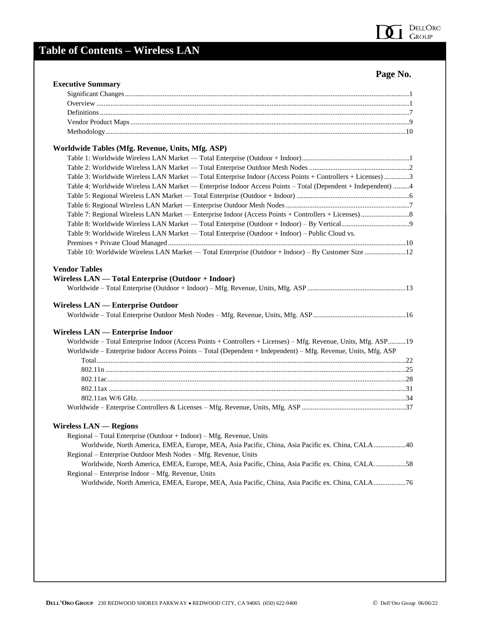

## **Table of Contents – Wireless LAN**

| <b>Executive Summary</b>                                                                                                                                                                                               |  |
|------------------------------------------------------------------------------------------------------------------------------------------------------------------------------------------------------------------------|--|
|                                                                                                                                                                                                                        |  |
|                                                                                                                                                                                                                        |  |
|                                                                                                                                                                                                                        |  |
|                                                                                                                                                                                                                        |  |
|                                                                                                                                                                                                                        |  |
| Worldwide Tables (Mfg. Revenue, Units, Mfg. ASP)                                                                                                                                                                       |  |
|                                                                                                                                                                                                                        |  |
|                                                                                                                                                                                                                        |  |
| Table 3: Worldwide Wireless LAN Market — Total Enterprise Indoor (Access Points + Controllers + Licenses) 3                                                                                                            |  |
| Table 4: Worldwide Wireless LAN Market — Enterprise Indoor Access Points - Total (Dependent + Independent) 4                                                                                                           |  |
|                                                                                                                                                                                                                        |  |
|                                                                                                                                                                                                                        |  |
|                                                                                                                                                                                                                        |  |
|                                                                                                                                                                                                                        |  |
| Table 9: Worldwide Wireless LAN Market — Total Enterprise (Outdoor + Indoor) – Public Cloud vs.                                                                                                                        |  |
|                                                                                                                                                                                                                        |  |
|                                                                                                                                                                                                                        |  |
| Table 10: Worldwide Wireless LAN Market — Total Enterprise (Outdoor + Indoor) - By Customer Size 12<br><b>Vendor Tables</b><br>Wireless LAN — Total Enterprise (Outdoor + Indoor)<br>Wireless LAN — Enterprise Outdoor |  |
|                                                                                                                                                                                                                        |  |
| <b>Wireless LAN — Enterprise Indoor</b>                                                                                                                                                                                |  |
| Worldwide - Total Enterprise Indoor (Access Points + Controllers + Licenses) - Mfg. Revenue, Units, Mfg. ASP19                                                                                                         |  |
| Worldwide - Enterprise Indoor Access Points - Total (Dependent + Independent) - Mfg. Revenue, Units, Mfg. ASP                                                                                                          |  |
|                                                                                                                                                                                                                        |  |
|                                                                                                                                                                                                                        |  |
|                                                                                                                                                                                                                        |  |
|                                                                                                                                                                                                                        |  |
|                                                                                                                                                                                                                        |  |
|                                                                                                                                                                                                                        |  |
| <b>Wireless LAN — Regions</b>                                                                                                                                                                                          |  |
| Regional – Total Enterprise (Outdoor + Indoor) – Mfg. Revenue, Units                                                                                                                                                   |  |
| Worldwide, North America, EMEA, Europe, MEA, Asia Pacific, China, Asia Pacific ex. China, CALA40                                                                                                                       |  |
| Regional – Enterprise Outdoor Mesh Nodes – Mfg. Revenue, Units                                                                                                                                                         |  |
| Worldwide, North America, EMEA, Europe, MEA, Asia Pacific, China, Asia Pacific ex. China, CALA58                                                                                                                       |  |
| Regional – Enterprise Indoor – Mfg. Revenue, Units                                                                                                                                                                     |  |